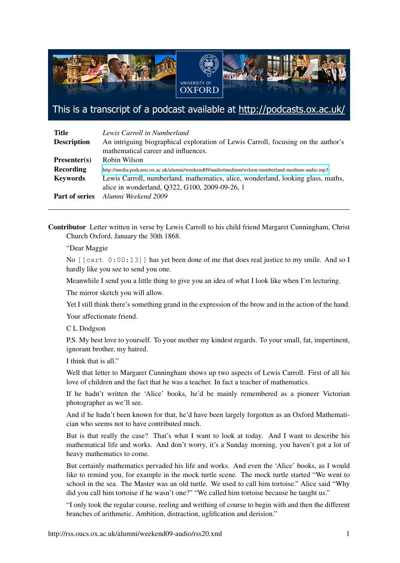

This is a transcript of a podcast available at http://podcasts.ox.ac.uk/

| <b>Title</b>          | Lewis Carroll in Numberland                                                                                              |
|-----------------------|--------------------------------------------------------------------------------------------------------------------------|
| <b>Description</b>    | An intriguing biographical exploration of Lewis Carroll, focusing on the author's<br>mathematical career and influences. |
| $Presenter(s)$        | Robin Wilson                                                                                                             |
| Recording             | http://media.podcasts.ox.ac.uk/alumni/weekend09/audio/medium/wilson-numberland-medium-audio.mp3                          |
| <b>Keywords</b>       | Lewis Carroll, numberland, mathematics, alice, wonderland, looking glass, maths,                                         |
|                       | alice in wonderland, Q322, G100, 2009-09-26, 1                                                                           |
| <b>Part of series</b> | Alumni Weekend 2009                                                                                                      |

Contributor Letter written in verse by Lewis Carroll to his child friend Margaret Cunningham, Christ Church Oxford, January the 30th 1868.

## "Dear Maggie

No [[cart 0:00:13]] has yet been done of me that does real justice to my smile. And so I hardly like you see to send you one.

Meanwhile I send you a little thing to give you an idea of what I look like when I'm lecturing.

The mirror sketch you will allow.

Yet I still think there's something grand in the expression of the brow and in the action of the hand.

Your affectionate friend.

## C L Dodgson

P.S. My best love to yourself. To your mother my kindest regards. To your small, fat, impertinent, ignorant brother, my hatred.

I think that is all."

Well that letter to Margaret Cunningham shows up two aspects of Lewis Carroll. First of all his love of children and the fact that he was a teacher. In fact a teacher of mathematics.

If he hadn't written the 'Alice' books, he'd be mainly remembered as a pioneer Victorian photographer as we'll see.

And if he hadn't been known for that, he'd have been largely forgotten as an Oxford Mathematician who seems not to have contributed much.

But is that really the case? That's what I want to look at today. And I want to describe his mathematical life and works. And don't worry, it's a Sunday morning, you haven't got a lot of heavy mathematics to come.

But certainly mathematics pervaded his life and works. And even the 'Alice' books, as I would like to remind you, for example in the mock turtle scene. The mock turtle started "We went to school in the sea. The Master was an old turtle. We used to call him tortoise." Alice said "Why did you call him tortoise if he wasn't one?" "We called him tortoise because he taught us."

"I only took the regular course, reeling and writhing of course to begin with and then the different branches of arithmetic. Ambition, distraction, uglification and derision."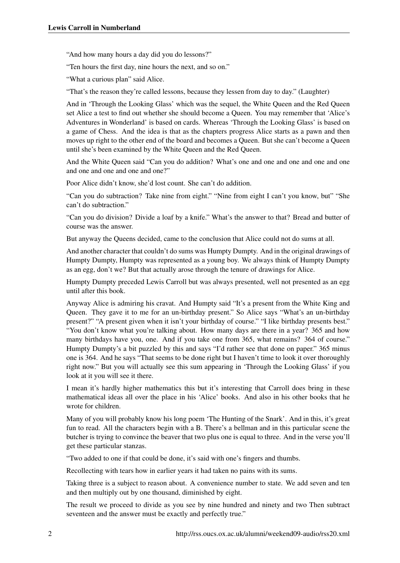"And how many hours a day did you do lessons?"

"Ten hours the first day, nine hours the next, and so on."

"What a curious plan" said Alice.

"That's the reason they're called lessons, because they lessen from day to day." (Laughter)

And in 'Through the Looking Glass' which was the sequel, the White Queen and the Red Queen set Alice a test to find out whether she should become a Queen. You may remember that 'Alice's Adventures in Wonderland' is based on cards. Whereas 'Through the Looking Glass' is based on a game of Chess. And the idea is that as the chapters progress Alice starts as a pawn and then moves up right to the other end of the board and becomes a Queen. But she can't become a Queen until she's been examined by the White Queen and the Red Queen.

And the White Queen said "Can you do addition? What's one and one and one and one and one and one and one and one?"

Poor Alice didn't know, she'd lost count. She can't do addition.

"Can you do subtraction? Take nine from eight." "Nine from eight I can't you know, but" "She can't do subtraction."

"Can you do division? Divide a loaf by a knife." What's the answer to that? Bread and butter of course was the answer.

But anyway the Queens decided, came to the conclusion that Alice could not do sums at all.

And another character that couldn't do sums was Humpty Dumpty. And in the original drawings of Humpty Dumpty, Humpty was represented as a young boy. We always think of Humpty Dumpty as an egg, don't we? But that actually arose through the tenure of drawings for Alice.

Humpty Dumpty preceded Lewis Carroll but was always presented, well not presented as an egg until after this book.

Anyway Alice is admiring his cravat. And Humpty said "It's a present from the White King and Queen. They gave it to me for an un-birthday present." So Alice says "What's an un-birthday present?" "A present given when it isn't your birthday of course." "I like birthday presents best." "You don't know what you're talking about. How many days are there in a year? 365 and how many birthdays have you, one. And if you take one from 365, what remains? 364 of course." Humpty Dumpty's a bit puzzled by this and says "I'd rather see that done on paper." 365 minus one is 364. And he says "That seems to be done right but I haven't time to look it over thoroughly right now." But you will actually see this sum appearing in 'Through the Looking Glass' if you look at it you will see it there.

I mean it's hardly higher mathematics this but it's interesting that Carroll does bring in these mathematical ideas all over the place in his 'Alice' books. And also in his other books that he wrote for children.

Many of you will probably know his long poem 'The Hunting of the Snark'. And in this, it's great fun to read. All the characters begin with a B. There's a bellman and in this particular scene the butcher is trying to convince the beaver that two plus one is equal to three. And in the verse you'll get these particular stanzas.

"Two added to one if that could be done, it's said with one's fingers and thumbs.

Recollecting with tears how in earlier years it had taken no pains with its sums.

Taking three is a subject to reason about. A convenience number to state. We add seven and ten and then multiply out by one thousand, diminished by eight.

The result we proceed to divide as you see by nine hundred and ninety and two Then subtract seventeen and the answer must be exactly and perfectly true."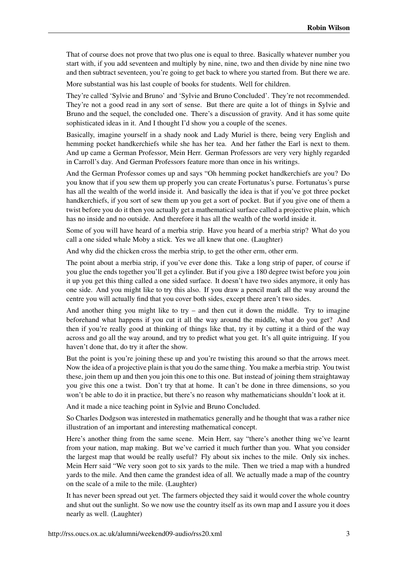That of course does not prove that two plus one is equal to three. Basically whatever number you start with, if you add seventeen and multiply by nine, nine, two and then divide by nine nine two and then subtract seventeen, you're going to get back to where you started from. But there we are.

More substantial was his last couple of books for students. Well for children.

They're called 'Sylvie and Bruno' and 'Sylvie and Bruno Concluded'. They're not recommended. They're not a good read in any sort of sense. But there are quite a lot of things in Sylvie and Bruno and the sequel, the concluded one. There's a discussion of gravity. And it has some quite sophisticated ideas in it. And I thought I'd show you a couple of the scenes.

Basically, imagine yourself in a shady nook and Lady Muriel is there, being very English and hemming pocket handkerchiefs while she has her tea. And her father the Earl is next to them. And up came a German Professor, Mein Herr. German Professors are very very highly regarded in Carroll's day. And German Professors feature more than once in his writings.

And the German Professor comes up and says "Oh hemming pocket handkerchiefs are you? Do you know that if you sew them up properly you can create Fortunatus's purse. Fortunatus's purse has all the wealth of the world inside it. And basically the idea is that if you've got three pocket handkerchiefs, if you sort of sew them up you get a sort of pocket. But if you give one of them a twist before you do it then you actually get a mathematical surface called a projective plain, which has no inside and no outside. And therefore it has all the wealth of the world inside it.

Some of you will have heard of a merbia strip. Have you heard of a merbia strip? What do you call a one sided whale Moby a stick. Yes we all knew that one. (Laughter)

And why did the chicken cross the merbia strip, to get the other erm, other erm.

The point about a merbia strip, if you've ever done this. Take a long strip of paper, of course if you glue the ends together you'll get a cylinder. But if you give a 180 degree twist before you join it up you get this thing called a one sided surface. It doesn't have two sides anymore, it only has one side. And you might like to try this also. If you draw a pencil mark all the way around the centre you will actually find that you cover both sides, except there aren't two sides.

And another thing you might like to try – and then cut it down the middle. Try to imagine beforehand what happens if you cut it all the way around the middle, what do you get? And then if you're really good at thinking of things like that, try it by cutting it a third of the way across and go all the way around, and try to predict what you get. It's all quite intriguing. If you haven't done that, do try it after the show.

But the point is you're joining these up and you're twisting this around so that the arrows meet. Now the idea of a projective plain is that you do the same thing. You make a merbia strip. You twist these, join them up and then you join this one to this one. But instead of joining them straightaway you give this one a twist. Don't try that at home. It can't be done in three dimensions, so you won't be able to do it in practice, but there's no reason why mathematicians shouldn't look at it.

And it made a nice teaching point in Sylvie and Bruno Concluded.

So Charles Dodgson was interested in mathematics generally and he thought that was a rather nice illustration of an important and interesting mathematical concept.

Here's another thing from the same scene. Mein Herr, say "there's another thing we've learnt from your nation, map making. But we've carried it much further than you. What you consider the largest map that would be really useful? Fly about six inches to the mile. Only six inches. Mein Herr said "We very soon got to six yards to the mile. Then we tried a map with a hundred yards to the mile. And then came the grandest idea of all. We actually made a map of the country on the scale of a mile to the mile. (Laughter)

It has never been spread out yet. The farmers objected they said it would cover the whole country and shut out the sunlight. So we now use the country itself as its own map and I assure you it does nearly as well. (Laughter)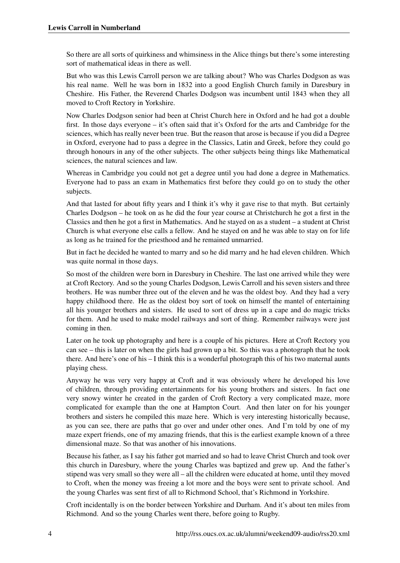So there are all sorts of quirkiness and whimsiness in the Alice things but there's some interesting sort of mathematical ideas in there as well.

But who was this Lewis Carroll person we are talking about? Who was Charles Dodgson as was his real name. Well he was born in 1832 into a good English Church family in Daresbury in Cheshire. His Father, the Reverend Charles Dodgson was incumbent until 1843 when they all moved to Croft Rectory in Yorkshire.

Now Charles Dodgson senior had been at Christ Church here in Oxford and he had got a double first. In those days everyone – it's often said that it's Oxford for the arts and Cambridge for the sciences, which has really never been true. But the reason that arose is because if you did a Degree in Oxford, everyone had to pass a degree in the Classics, Latin and Greek, before they could go through honours in any of the other subjects. The other subjects being things like Mathematical sciences, the natural sciences and law.

Whereas in Cambridge you could not get a degree until you had done a degree in Mathematics. Everyone had to pass an exam in Mathematics first before they could go on to study the other subjects.

And that lasted for about fifty years and I think it's why it gave rise to that myth. But certainly Charles Dodgson – he took on as he did the four year course at Christchurch he got a first in the Classics and then he got a first in Mathematics. And he stayed on as a student – a student at Christ Church is what everyone else calls a fellow. And he stayed on and he was able to stay on for life as long as he trained for the priesthood and he remained unmarried.

But in fact he decided he wanted to marry and so he did marry and he had eleven children. Which was quite normal in those days.

So most of the children were born in Daresbury in Cheshire. The last one arrived while they were at Croft Rectory. And so the young Charles Dodgson, Lewis Carroll and his seven sisters and three brothers. He was number three out of the eleven and he was the oldest boy. And they had a very happy childhood there. He as the oldest boy sort of took on himself the mantel of entertaining all his younger brothers and sisters. He used to sort of dress up in a cape and do magic tricks for them. And he used to make model railways and sort of thing. Remember railways were just coming in then.

Later on he took up photography and here is a couple of his pictures. Here at Croft Rectory you can see – this is later on when the girls had grown up a bit. So this was a photograph that he took there. And here's one of his – I think this is a wonderful photograph this of his two maternal aunts playing chess.

Anyway he was very very happy at Croft and it was obviously where he developed his love of children, through providing entertainments for his young brothers and sisters. In fact one very snowy winter he created in the garden of Croft Rectory a very complicated maze, more complicated for example than the one at Hampton Court. And then later on for his younger brothers and sisters he compiled this maze here. Which is very interesting historically because, as you can see, there are paths that go over and under other ones. And I'm told by one of my maze expert friends, one of my amazing friends, that this is the earliest example known of a three dimensional maze. So that was another of his innovations.

Because his father, as I say his father got married and so had to leave Christ Church and took over this church in Daresbury, where the young Charles was baptized and grew up. And the father's stipend was very small so they were all – all the children were educated at home, until they moved to Croft, when the money was freeing a lot more and the boys were sent to private school. And the young Charles was sent first of all to Richmond School, that's Richmond in Yorkshire.

Croft incidentally is on the border between Yorkshire and Durham. And it's about ten miles from Richmond. And so the young Charles went there, before going to Rugby.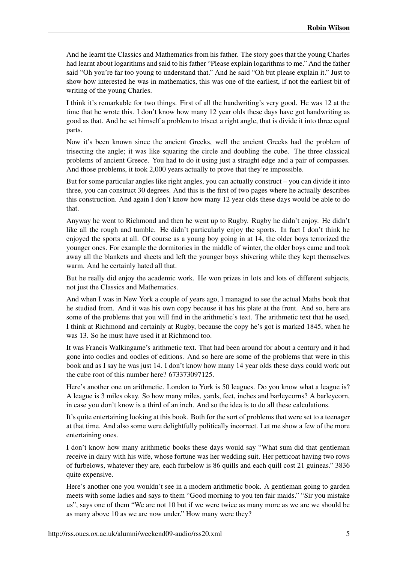And he learnt the Classics and Mathematics from his father. The story goes that the young Charles had learnt about logarithms and said to his father "Please explain logarithms to me." And the father said "Oh you're far too young to understand that." And he said "Oh but please explain it." Just to show how interested he was in mathematics, this was one of the earliest, if not the earliest bit of writing of the young Charles.

I think it's remarkable for two things. First of all the handwriting's very good. He was 12 at the time that he wrote this. I don't know how many 12 year olds these days have got handwriting as good as that. And he set himself a problem to trisect a right angle, that is divide it into three equal parts.

Now it's been known since the ancient Greeks, well the ancient Greeks had the problem of trisecting the angle; it was like squaring the circle and doubling the cube. The three classical problems of ancient Greece. You had to do it using just a straight edge and a pair of compasses. And those problems, it took 2,000 years actually to prove that they're impossible.

But for some particular angles like right angles, you can actually construct – you can divide it into three, you can construct 30 degrees. And this is the first of two pages where he actually describes this construction. And again I don't know how many 12 year olds these days would be able to do that.

Anyway he went to Richmond and then he went up to Rugby. Rugby he didn't enjoy. He didn't like all the rough and tumble. He didn't particularly enjoy the sports. In fact I don't think he enjoyed the sports at all. Of course as a young boy going in at 14, the older boys terrorized the younger ones. For example the dormitories in the middle of winter, the older boys came and took away all the blankets and sheets and left the younger boys shivering while they kept themselves warm. And he certainly hated all that.

But he really did enjoy the academic work. He won prizes in lots and lots of different subjects, not just the Classics and Mathematics.

And when I was in New York a couple of years ago, I managed to see the actual Maths book that he studied from. And it was his own copy because it has his plate at the front. And so, here are some of the problems that you will find in the arithmetic's text. The arithmetic text that he used, I think at Richmond and certainly at Rugby, because the copy he's got is marked 1845, when he was 13. So he must have used it at Richmond too.

It was Francis Walkingame's arithmetic text. That had been around for about a century and it had gone into oodles and oodles of editions. And so here are some of the problems that were in this book and as I say he was just 14. I don't know how many 14 year olds these days could work out the cube root of this number here? 673373097125.

Here's another one on arithmetic. London to York is 50 leagues. Do you know what a league is? A league is 3 miles okay. So how many miles, yards, feet, inches and barleycorns? A barleycorn, in case you don't know is a third of an inch. And so the idea is to do all these calculations.

It's quite entertaining looking at this book. Both for the sort of problems that were set to a teenager at that time. And also some were delightfully politically incorrect. Let me show a few of the more entertaining ones.

I don't know how many arithmetic books these days would say "What sum did that gentleman receive in dairy with his wife, whose fortune was her wedding suit. Her petticoat having two rows of furbelows, whatever they are, each furbelow is 86 quills and each quill cost 21 guineas." 3836 quite expensive.

Here's another one you wouldn't see in a modern arithmetic book. A gentleman going to garden meets with some ladies and says to them "Good morning to you ten fair maids." "Sir you mistake us", says one of them "We are not 10 but if we were twice as many more as we are we should be as many above 10 as we are now under." How many were they?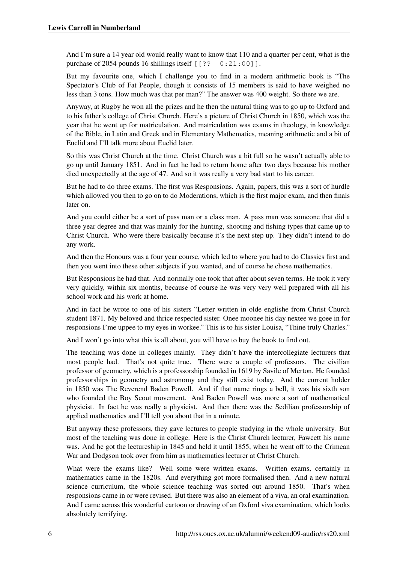And I'm sure a 14 year old would really want to know that 110 and a quarter per cent, what is the purchase of 2054 pounds 16 shillings itself  $[3, 2, 0:21:00]$ ].

But my favourite one, which I challenge you to find in a modern arithmetic book is "The Spectator's Club of Fat People, though it consists of 15 members is said to have weighed no less than 3 tons. How much was that per man?" The answer was 400 weight. So there we are.

Anyway, at Rugby he won all the prizes and he then the natural thing was to go up to Oxford and to his father's college of Christ Church. Here's a picture of Christ Church in 1850, which was the year that he went up for matriculation. And matriculation was exams in theology, in knowledge of the Bible, in Latin and Greek and in Elementary Mathematics, meaning arithmetic and a bit of Euclid and I'll talk more about Euclid later.

So this was Christ Church at the time. Christ Church was a bit full so he wasn't actually able to go up until January 1851. And in fact he had to return home after two days because his mother died unexpectedly at the age of 47. And so it was really a very bad start to his career.

But he had to do three exams. The first was Responsions. Again, papers, this was a sort of hurdle which allowed you then to go on to do Moderations, which is the first major exam, and then finals later on.

And you could either be a sort of pass man or a class man. A pass man was someone that did a three year degree and that was mainly for the hunting, shooting and fishing types that came up to Christ Church. Who were there basically because it's the next step up. They didn't intend to do any work.

And then the Honours was a four year course, which led to where you had to do Classics first and then you went into these other subjects if you wanted, and of course he chose mathematics.

But Responsions he had that. And normally one took that after about seven terms. He took it very very quickly, within six months, because of course he was very very well prepared with all his school work and his work at home.

And in fact he wrote to one of his sisters "Letter written in olde englishe from Christ Church student 1871. My beloved and thrice respected sister. Onee moonee his day nextee we goee in for responsions I'me uppee to my eyes in workee." This is to his sister Louisa, "Thine truly Charles."

And I won't go into what this is all about, you will have to buy the book to find out.

The teaching was done in colleges mainly. They didn't have the intercollegiate lecturers that most people had. That's not quite true. There were a couple of professors. The civilian professor of geometry, which is a professorship founded in 1619 by Savile of Merton. He founded professorships in geometry and astronomy and they still exist today. And the current holder in 1850 was The Reverend Baden Powell. And if that name rings a bell, it was his sixth son who founded the Boy Scout movement. And Baden Powell was more a sort of mathematical physicist. In fact he was really a physicist. And then there was the Sedilian professorship of applied mathematics and I'll tell you about that in a minute.

But anyway these professors, they gave lectures to people studying in the whole university. But most of the teaching was done in college. Here is the Christ Church lecturer, Fawcett his name was. And he got the lectureship in 1845 and held it until 1855, when he went off to the Crimean War and Dodgson took over from him as mathematics lecturer at Christ Church.

What were the exams like? Well some were written exams. Written exams, certainly in mathematics came in the 1820s. And everything got more formalised then. And a new natural science curriculum, the whole science teaching was sorted out around 1850. That's when responsions came in or were revised. But there was also an element of a viva, an oral examination. And I came across this wonderful cartoon or drawing of an Oxford viva examination, which looks absolutely terrifying.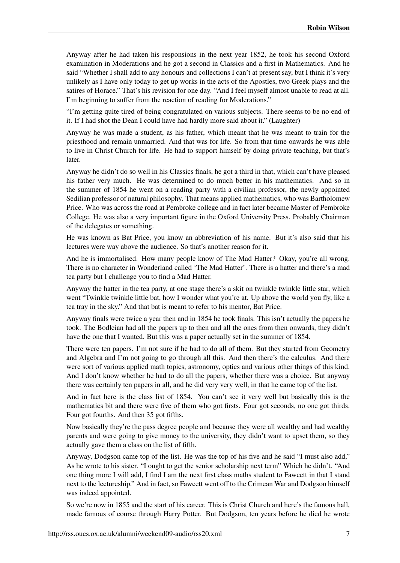Anyway after he had taken his responsions in the next year 1852, he took his second Oxford examination in Moderations and he got a second in Classics and a first in Mathematics. And he said "Whether I shall add to any honours and collections I can't at present say, but I think it's very unlikely as I have only today to get up works in the acts of the Apostles, two Greek plays and the satires of Horace." That's his revision for one day. "And I feel myself almost unable to read at all. I'm beginning to suffer from the reaction of reading for Moderations."

"I'm getting quite tired of being congratulated on various subjects. There seems to be no end of it. If I had shot the Dean I could have had hardly more said about it." (Laughter)

Anyway he was made a student, as his father, which meant that he was meant to train for the priesthood and remain unmarried. And that was for life. So from that time onwards he was able to live in Christ Church for life. He had to support himself by doing private teaching, but that's later.

Anyway he didn't do so well in his Classics finals, he got a third in that, which can't have pleased his father very much. He was determined to do much better in his mathematics. And so in the summer of 1854 he went on a reading party with a civilian professor, the newly appointed Sedilian professor of natural philosophy. That means applied mathematics, who was Bartholomew Price. Who was across the road at Pembroke college and in fact later became Master of Pembroke College. He was also a very important figure in the Oxford University Press. Probably Chairman of the delegates or something.

He was known as Bat Price, you know an abbreviation of his name. But it's also said that his lectures were way above the audience. So that's another reason for it.

And he is immortalised. How many people know of The Mad Hatter? Okay, you're all wrong. There is no character in Wonderland called 'The Mad Hatter'. There is a hatter and there's a mad tea party but I challenge you to find a Mad Hatter.

Anyway the hatter in the tea party, at one stage there's a skit on twinkle twinkle little star, which went "Twinkle twinkle little bat, how I wonder what you're at. Up above the world you fly, like a tea tray in the sky." And that bat is meant to refer to his mentor, Bat Price.

Anyway finals were twice a year then and in 1854 he took finals. This isn't actually the papers he took. The Bodleian had all the papers up to then and all the ones from then onwards, they didn't have the one that I wanted. But this was a paper actually set in the summer of 1854.

There were ten papers. I'm not sure if he had to do all of them. But they started from Geometry and Algebra and I'm not going to go through all this. And then there's the calculus. And there were sort of various applied math topics, astronomy, optics and various other things of this kind. And I don't know whether he had to do all the papers, whether there was a choice. But anyway there was certainly ten papers in all, and he did very very well, in that he came top of the list.

And in fact here is the class list of 1854. You can't see it very well but basically this is the mathematics bit and there were five of them who got firsts. Four got seconds, no one got thirds. Four got fourths. And then 35 got fifths.

Now basically they're the pass degree people and because they were all wealthy and had wealthy parents and were going to give money to the university, they didn't want to upset them, so they actually gave them a class on the list of fifth.

Anyway, Dodgson came top of the list. He was the top of his five and he said "I must also add," As he wrote to his sister. "I ought to get the senior scholarship next term" Which he didn't. "And one thing more I will add, I find I am the next first class maths student to Fawcett in that I stand next to the lectureship." And in fact, so Fawcett went off to the Crimean War and Dodgson himself was indeed appointed.

So we're now in 1855 and the start of his career. This is Christ Church and here's the famous hall, made famous of course through Harry Potter. But Dodgson, ten years before he died he wrote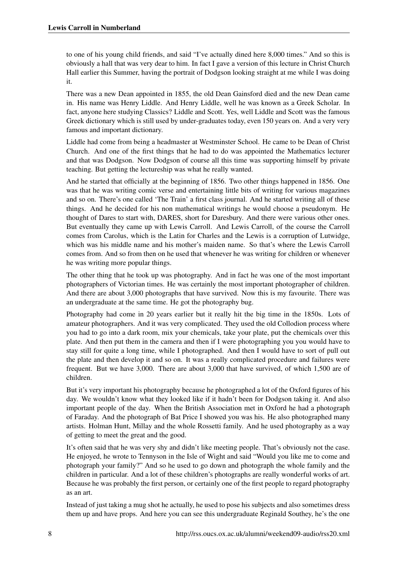to one of his young child friends, and said "I've actually dined here 8,000 times." And so this is obviously a hall that was very dear to him. In fact I gave a version of this lecture in Christ Church Hall earlier this Summer, having the portrait of Dodgson looking straight at me while I was doing it.

There was a new Dean appointed in 1855, the old Dean Gainsford died and the new Dean came in. His name was Henry Liddle. And Henry Liddle, well he was known as a Greek Scholar. In fact, anyone here studying Classics? Liddle and Scott. Yes, well Liddle and Scott was the famous Greek dictionary which is still used by under-graduates today, even 150 years on. And a very very famous and important dictionary.

Liddle had come from being a headmaster at Westminster School. He came to be Dean of Christ Church. And one of the first things that he had to do was appointed the Mathematics lecturer and that was Dodgson. Now Dodgson of course all this time was supporting himself by private teaching. But getting the lectureship was what he really wanted.

And he started that officially at the beginning of 1856. Two other things happened in 1856. One was that he was writing comic verse and entertaining little bits of writing for various magazines and so on. There's one called 'The Train' a first class journal. And he started writing all of these things. And he decided for his non mathematical writings he would choose a pseudonym. He thought of Dares to start with, DARES, short for Daresbury. And there were various other ones. But eventually they came up with Lewis Carroll. And Lewis Carroll, of the course the Carroll comes from Carolus, which is the Latin for Charles and the Lewis is a corruption of Lutwidge, which was his middle name and his mother's maiden name. So that's where the Lewis Carroll comes from. And so from then on he used that whenever he was writing for children or whenever he was writing more popular things.

The other thing that he took up was photography. And in fact he was one of the most important photographers of Victorian times. He was certainly the most important photographer of children. And there are about 3,000 photographs that have survived. Now this is my favourite. There was an undergraduate at the same time. He got the photography bug.

Photography had come in 20 years earlier but it really hit the big time in the 1850s. Lots of amateur photographers. And it was very complicated. They used the old Collodion process where you had to go into a dark room, mix your chemicals, take your plate, put the chemicals over this plate. And then put them in the camera and then if I were photographing you you would have to stay still for quite a long time, while I photographed. And then I would have to sort of pull out the plate and then develop it and so on. It was a really complicated procedure and failures were frequent. But we have 3,000. There are about 3,000 that have survived, of which 1,500 are of children.

But it's very important his photography because he photographed a lot of the Oxford figures of his day. We wouldn't know what they looked like if it hadn't been for Dodgson taking it. And also important people of the day. When the British Association met in Oxford he had a photograph of Faraday. And the photograph of Bat Price I showed you was his. He also photographed many artists. Holman Hunt, Millay and the whole Rossetti family. And he used photography as a way of getting to meet the great and the good.

It's often said that he was very shy and didn't like meeting people. That's obviously not the case. He enjoyed, he wrote to Tennyson in the Isle of Wight and said "Would you like me to come and photograph your family?" And so he used to go down and photograph the whole family and the children in particular. And a lot of these children's photographs are really wonderful works of art. Because he was probably the first person, or certainly one of the first people to regard photography as an art.

Instead of just taking a mug shot he actually, he used to pose his subjects and also sometimes dress them up and have props. And here you can see this undergraduate Reginald Southey, he's the one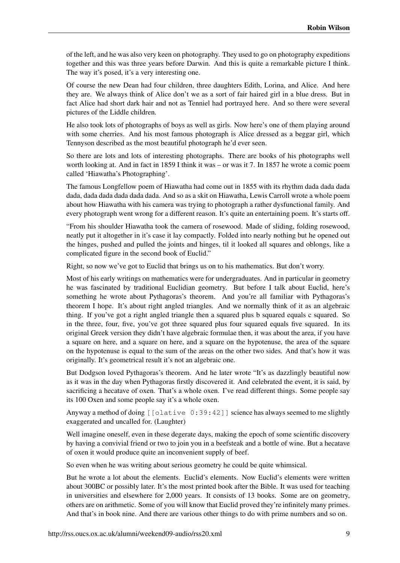of the left, and he was also very keen on photography. They used to go on photography expeditions together and this was three years before Darwin. And this is quite a remarkable picture I think. The way it's posed, it's a very interesting one.

Of course the new Dean had four children, three daughters Edith, Lorina, and Alice. And here they are. We always think of Alice don't we as a sort of fair haired girl in a blue dress. But in fact Alice had short dark hair and not as Tenniel had portrayed here. And so there were several pictures of the Liddle children.

He also took lots of photographs of boys as well as girls. Now here's one of them playing around with some cherries. And his most famous photograph is Alice dressed as a beggar girl, which Tennyson described as the most beautiful photograph he'd ever seen.

So there are lots and lots of interesting photographs. There are books of his photographs well worth looking at. And in fact in 1859 I think it was – or was it 7. In 1857 he wrote a comic poem called 'Hiawatha's Photographing'.

The famous Longfellow poem of Hiawatha had come out in 1855 with its rhythm dada dada dada dada, dada dada dada dada dada. And so as a skit on Hiawatha, Lewis Carroll wrote a whole poem about how Hiawatha with his camera was trying to photograph a rather dysfunctional family. And every photograph went wrong for a different reason. It's quite an entertaining poem. It's starts off.

"From his shoulder Hiawatha took the camera of rosewood. Made of sliding, folding rosewood, neatly put it altogether in it's case it lay compactly. Folded into nearly nothing but he opened out the hinges, pushed and pulled the joints and hinges, til it looked all squares and oblongs, like a complicated figure in the second book of Euclid."

Right, so now we've got to Euclid that brings us on to his mathematics. But don't worry.

Most of his early writings on mathematics were for undergraduates. And in particular in geometry he was fascinated by traditional Euclidian geometry. But before I talk about Euclid, here's something he wrote about Pythagoras's theorem. And you're all familiar with Pythagoras's theorem I hope. It's about right angled triangles. And we normally think of it as an algebraic thing. If you've got a right angled triangle then a squared plus b squared equals c squared. So in the three, four, five, you've got three squared plus four squared equals five squared. In its original Greek version they didn't have algebraic formulae then, it was about the area, if you have a square on here, and a square on here, and a square on the hypotenuse, the area of the square on the hypotenuse is equal to the sum of the areas on the other two sides. And that's how it was originally. It's geometrical result it's not an algebraic one.

But Dodgson loved Pythagoras's theorem. And he later wrote "It's as dazzlingly beautiful now as it was in the day when Pythagoras firstly discovered it. And celebrated the event, it is said, by sacrificing a hecatave of oxen. That's a whole oxen. I've read different things. Some people say its 100 Oxen and some people say it's a whole oxen.

Anyway a method of doing [[olative 0:39:42]] science has always seemed to me slightly exaggerated and uncalled for. (Laughter)

Well imagine oneself, even in these degerate days, making the epoch of some scientific discovery by having a convivial friend or two to join you in a beefsteak and a bottle of wine. But a hecatave of oxen it would produce quite an inconvenient supply of beef.

So even when he was writing about serious geometry he could be quite whimsical.

But he wrote a lot about the elements. Euclid's elements. Now Euclid's elements were written about 300BC or possibly later. It's the most printed book after the Bible. It was used for teaching in universities and elsewhere for 2,000 years. It consists of 13 books. Some are on geometry, others are on arithmetic. Some of you will know that Euclid proved they're infinitely many primes. And that's in book nine. And there are various other things to do with prime numbers and so on.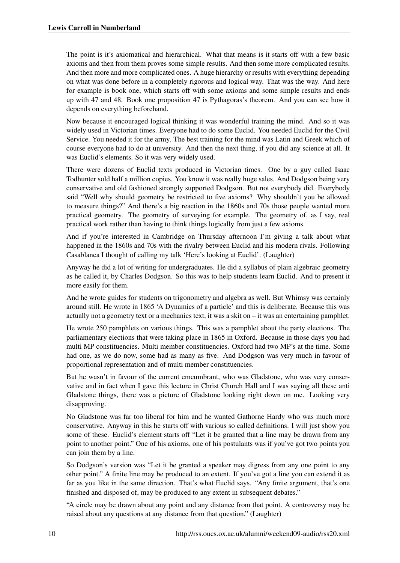The point is it's axiomatical and hierarchical. What that means is it starts off with a few basic axioms and then from them proves some simple results. And then some more complicated results. And then more and more complicated ones. A huge hierarchy or results with everything depending on what was done before in a completely rigorous and logical way. That was the way. And here for example is book one, which starts off with some axioms and some simple results and ends up with 47 and 48. Book one proposition 47 is Pythagoras's theorem. And you can see how it depends on everything beforehand.

Now because it encouraged logical thinking it was wonderful training the mind. And so it was widely used in Victorian times. Everyone had to do some Euclid. You needed Euclid for the Civil Service. You needed it for the army. The best training for the mind was Latin and Greek which of course everyone had to do at university. And then the next thing, if you did any science at all. It was Euclid's elements. So it was very widely used.

There were dozens of Euclid texts produced in Victorian times. One by a guy called Isaac Todhunter sold half a million copies. You know it was really huge sales. And Dodgson being very conservative and old fashioned strongly supported Dodgson. But not everybody did. Everybody said "Well why should geometry be restricted to five axioms? Why shouldn't you be allowed to measure things?" And there's a big reaction in the 1860s and 70s those people wanted more practical geometry. The geometry of surveying for example. The geometry of, as I say, real practical work rather than having to think things logically from just a few axioms.

And if you're interested in Cambridge on Thursday afternoon I'm giving a talk about what happened in the 1860s and 70s with the rivalry between Euclid and his modern rivals. Following Casablanca I thought of calling my talk 'Here's looking at Euclid'. (Laughter)

Anyway he did a lot of writing for undergraduates. He did a syllabus of plain algebraic geometry as he called it, by Charles Dodgson. So this was to help students learn Euclid. And to present it more easily for them.

And he wrote guides for students on trigonometry and algebra as well. But Whimsy was certainly around still. He wrote in 1865 'A Dynamics of a particle' and this is deliberate. Because this was actually not a geometry text or a mechanics text, it was a skit on – it was an entertaining pamphlet.

He wrote 250 pamphlets on various things. This was a pamphlet about the party elections. The parliamentary elections that were taking place in 1865 in Oxford. Because in those days you had multi MP constituencies. Multi member constituencies. Oxford had two MP's at the time. Some had one, as we do now, some had as many as five. And Dodgson was very much in favour of proportional representation and of multi member constituencies.

But he wasn't in favour of the current emcumbrant, who was Gladstone, who was very conservative and in fact when I gave this lecture in Christ Church Hall and I was saying all these anti Gladstone things, there was a picture of Gladstone looking right down on me. Looking very disapproving.

No Gladstone was far too liberal for him and he wanted Gathorne Hardy who was much more conservative. Anyway in this he starts off with various so called definitions. I will just show you some of these. Euclid's element starts off "Let it be granted that a line may be drawn from any point to another point." One of his axioms, one of his postulants was if you've got two points you can join them by a line.

So Dodgson's version was "Let it be granted a speaker may digress from any one point to any other point." A finite line may be produced to an extent. If you've got a line you can extend it as far as you like in the same direction. That's what Euclid says. "Any finite argument, that's one finished and disposed of, may be produced to any extent in subsequent debates."

"A circle may be drawn about any point and any distance from that point. A controversy may be raised about any questions at any distance from that question." (Laughter)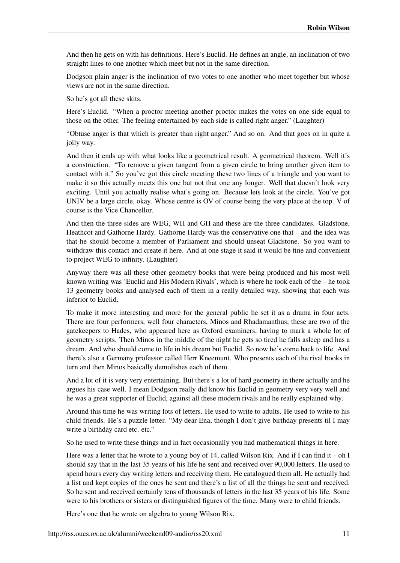And then he gets on with his definitions. Here's Euclid. He defines an angle, an inclination of two straight lines to one another which meet but not in the same direction.

Dodgson plain anger is the inclination of two votes to one another who meet together but whose views are not in the same direction.

So he's got all these skits.

Here's Euclid. "When a proctor meeting another proctor makes the votes on one side equal to those on the other. The feeling entertained by each side is called right anger." (Laughter)

"Obtuse anger is that which is greater than right anger." And so on. And that goes on in quite a jolly way.

And then it ends up with what looks like a geometrical result. A geometrical theorem. Well it's a construction. "To remove a given tangent from a given circle to bring another given item to contact with it." So you've got this circle meeting these two lines of a triangle and you want to make it so this actually meets this one but not that one any longer. Well that doesn't look very exciting. Until you actually realise what's going on. Because lets look at the circle. You've got UNIV be a large circle, okay. Whose centre is OV of course being the very place at the top. V of course is the Vice Chancellor.

And then the three sides are WEG, WH and GH and these are the three candidates. Gladstone, Heathcot and Gathorne Hardy. Gathorne Hardy was the conservative one that – and the idea was that he should become a member of Parliament and should unseat Gladstone. So you want to withdraw this contact and create it here. And at one stage it said it would be fine and convenient to project WEG to infinity. (Laughter)

Anyway there was all these other geometry books that were being produced and his most well known writing was 'Euclid and His Modern Rivals', which is where he took each of the – he took 13 geometry books and analysed each of them in a really detailed way, showing that each was inferior to Euclid.

To make it more interesting and more for the general public he set it as a drama in four acts. There are four performers, well four characters, Minos and Rhadamanthus, these are two of the gatekeepers to Hades, who appeared here as Oxford examiners, having to mark a whole lot of geometry scripts. Then Minos in the middle of the night he gets so tired he falls asleep and has a dream. And who should come to life in his dream but Euclid. So now he's come back to life. And there's also a Germany professor called Herr Kneemunt. Who presents each of the rival books in turn and then Minos basically demolishes each of them.

And a lot of it is very very entertaining. But there's a lot of hard geometry in there actually and he argues his case well. I mean Dodgson really did know his Euclid in geometry very very well and he was a great supporter of Euclid, against all these modern rivals and he really explained why.

Around this time he was writing lots of letters. He used to write to adults. He used to write to his child friends. He's a puzzle letter. "My dear Ena, though I don't give birthday presents til I may write a birthday card etc. etc."

So he used to write these things and in fact occasionally you had mathematical things in here.

Here was a letter that he wrote to a young boy of 14, called Wilson Rix. And if I can find it – oh I should say that in the last 35 years of his life he sent and received over 90,000 letters. He used to spend hours every day writing letters and receiving them. He catalogued them all. He actually had a list and kept copies of the ones he sent and there's a list of all the things he sent and received. So he sent and received certainly tens of thousands of letters in the last 35 years of his life. Some were to his brothers or sisters or distinguished figures of the time. Many were to child friends.

Here's one that he wrote on algebra to young Wilson Rix.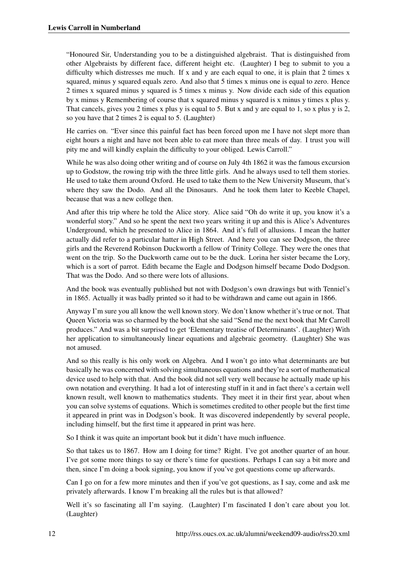"Honoured Sir, Understanding you to be a distinguished algebraist. That is distinguished from other Algebraists by different face, different height etc. (Laughter) I beg to submit to you a difficulty which distresses me much. If x and y are each equal to one, it is plain that 2 times x squared, minus y squared equals zero. And also that 5 times x minus one is equal to zero. Hence 2 times x squared minus y squared is 5 times x minus y. Now divide each side of this equation by x minus y Remembering of course that x squared minus y squared is x minus y times x plus y. That cancels, gives you 2 times x plus y is equal to 5. But x and y are equal to 1, so x plus y is 2, so you have that 2 times 2 is equal to 5. (Laughter)

He carries on. "Ever since this painful fact has been forced upon me I have not slept more than eight hours a night and have not been able to eat more than three meals of day. I trust you will pity me and will kindly explain the difficulty to your obliged. Lewis Carroll."

While he was also doing other writing and of course on July 4th 1862 it was the famous excursion up to Godstow, the rowing trip with the three little girls. And he always used to tell them stories. He used to take them around Oxford. He used to take them to the New University Museum, that's where they saw the Dodo. And all the Dinosaurs. And he took them later to Keeble Chapel, because that was a new college then.

And after this trip where he told the Alice story. Alice said "Oh do write it up, you know it's a wonderful story." And so he spent the next two years writing it up and this is Alice's Adventures Underground, which he presented to Alice in 1864. And it's full of allusions. I mean the hatter actually did refer to a particular hatter in High Street. And here you can see Dodgson, the three girls and the Reverend Robinson Duckworth a fellow of Trinity College. They were the ones that went on the trip. So the Duckworth came out to be the duck. Lorina her sister became the Lory, which is a sort of parrot. Edith became the Eagle and Dodgson himself became Dodo Dodgson. That was the Dodo. And so there were lots of allusions.

And the book was eventually published but not with Dodgson's own drawings but with Tenniel's in 1865. Actually it was badly printed so it had to be withdrawn and came out again in 1866.

Anyway I'm sure you all know the well known story. We don't know whether it's true or not. That Queen Victoria was so charmed by the book that she said "Send me the next book that Mr Carroll produces." And was a bit surprised to get 'Elementary treatise of Determinants'. (Laughter) With her application to simultaneously linear equations and algebraic geometry. (Laughter) She was not amused.

And so this really is his only work on Algebra. And I won't go into what determinants are but basically he was concerned with solving simultaneous equations and they're a sort of mathematical device used to help with that. And the book did not sell very well because he actually made up his own notation and everything. It had a lot of interesting stuff in it and in fact there's a certain well known result, well known to mathematics students. They meet it in their first year, about when you can solve systems of equations. Which is sometimes credited to other people but the first time it appeared in print was in Dodgson's book. It was discovered independently by several people, including himself, but the first time it appeared in print was here.

So I think it was quite an important book but it didn't have much influence.

So that takes us to 1867. How am I doing for time? Right. I've got another quarter of an hour. I've got some more things to say or there's time for questions. Perhaps I can say a bit more and then, since I'm doing a book signing, you know if you've got questions come up afterwards.

Can I go on for a few more minutes and then if you've got questions, as I say, come and ask me privately afterwards. I know I'm breaking all the rules but is that allowed?

Well it's so fascinating all I'm saying. (Laughter) I'm fascinated I don't care about you lot. (Laughter)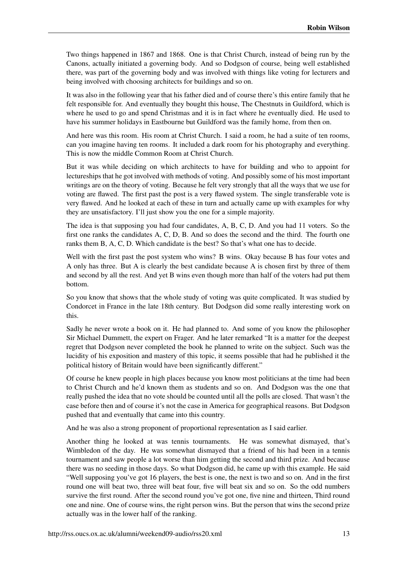Two things happened in 1867 and 1868. One is that Christ Church, instead of being run by the Canons, actually initiated a governing body. And so Dodgson of course, being well established there, was part of the governing body and was involved with things like voting for lecturers and being involved with choosing architects for buildings and so on.

It was also in the following year that his father died and of course there's this entire family that he felt responsible for. And eventually they bought this house, The Chestnuts in Guildford, which is where he used to go and spend Christmas and it is in fact where he eventually died. He used to have his summer holidays in Eastbourne but Guildford was the family home, from then on.

And here was this room. His room at Christ Church. I said a room, he had a suite of ten rooms, can you imagine having ten rooms. It included a dark room for his photography and everything. This is now the middle Common Room at Christ Church.

But it was while deciding on which architects to have for building and who to appoint for lectureships that he got involved with methods of voting. And possibly some of his most important writings are on the theory of voting. Because he felt very strongly that all the ways that we use for voting are flawed. The first past the post is a very flawed system. The single transferable vote is very flawed. And he looked at each of these in turn and actually came up with examples for why they are unsatisfactory. I'll just show you the one for a simple majority.

The idea is that supposing you had four candidates, A, B, C, D. And you had 11 voters. So the first one ranks the candidates A, C, D, B. And so does the second and the third. The fourth one ranks them B, A, C, D. Which candidate is the best? So that's what one has to decide.

Well with the first past the post system who wins? B wins. Okay because B has four votes and A only has three. But A is clearly the best candidate because A is chosen first by three of them and second by all the rest. And yet B wins even though more than half of the voters had put them bottom.

So you know that shows that the whole study of voting was quite complicated. It was studied by Condorcet in France in the late 18th century. But Dodgson did some really interesting work on this.

Sadly he never wrote a book on it. He had planned to. And some of you know the philosopher Sir Michael Dummett, the expert on Frager. And he later remarked "It is a matter for the deepest regret that Dodgson never completed the book he planned to write on the subject. Such was the lucidity of his exposition and mastery of this topic, it seems possible that had he published it the political history of Britain would have been significantly different."

Of course he knew people in high places because you know most politicians at the time had been to Christ Church and he'd known them as students and so on. And Dodgson was the one that really pushed the idea that no vote should be counted until all the polls are closed. That wasn't the case before then and of course it's not the case in America for geographical reasons. But Dodgson pushed that and eventually that came into this country.

And he was also a strong proponent of proportional representation as I said earlier.

Another thing he looked at was tennis tournaments. He was somewhat dismayed, that's Wimbledon of the day. He was somewhat dismayed that a friend of his had been in a tennis tournament and saw people a lot worse than him getting the second and third prize. And because there was no seeding in those days. So what Dodgson did, he came up with this example. He said "Well supposing you've got 16 players, the best is one, the next is two and so on. And in the first round one will beat two, three will beat four, five will beat six and so on. So the odd numbers survive the first round. After the second round you've got one, five nine and thirteen, Third round one and nine. One of course wins, the right person wins. But the person that wins the second prize actually was in the lower half of the ranking.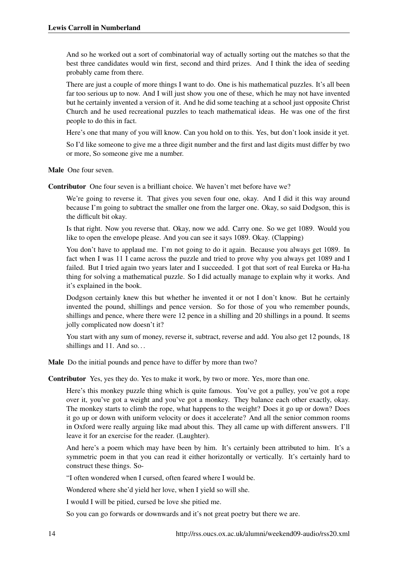And so he worked out a sort of combinatorial way of actually sorting out the matches so that the best three candidates would win first, second and third prizes. And I think the idea of seeding probably came from there.

There are just a couple of more things I want to do. One is his mathematical puzzles. It's all been far too serious up to now. And I will just show you one of these, which he may not have invented but he certainly invented a version of it. And he did some teaching at a school just opposite Christ Church and he used recreational puzzles to teach mathematical ideas. He was one of the first people to do this in fact.

Here's one that many of you will know. Can you hold on to this. Yes, but don't look inside it yet.

So I'd like someone to give me a three digit number and the first and last digits must differ by two or more, So someone give me a number.

Male One four seven.

Contributor One four seven is a brilliant choice. We haven't met before have we?

We're going to reverse it. That gives you seven four one, okay. And I did it this way around because I'm going to subtract the smaller one from the larger one. Okay, so said Dodgson, this is the difficult bit okay.

Is that right. Now you reverse that. Okay, now we add. Carry one. So we get 1089. Would you like to open the envelope please. And you can see it says 1089. Okay. (Clapping)

You don't have to applaud me. I'm not going to do it again. Because you always get 1089. In fact when I was 11 I came across the puzzle and tried to prove why you always get 1089 and I failed. But I tried again two years later and I succeeded. I got that sort of real Eureka or Ha-ha thing for solving a mathematical puzzle. So I did actually manage to explain why it works. And it's explained in the book.

Dodgson certainly knew this but whether he invented it or not I don't know. But he certainly invented the pound, shillings and pence version. So for those of you who remember pounds, shillings and pence, where there were 12 pence in a shilling and 20 shillings in a pound. It seems jolly complicated now doesn't it?

You start with any sum of money, reverse it, subtract, reverse and add. You also get 12 pounds, 18 shillings and 11. And so...

Male Do the initial pounds and pence have to differ by more than two?

Contributor Yes, yes they do. Yes to make it work, by two or more. Yes, more than one.

Here's this monkey puzzle thing which is quite famous. You've got a pulley, you've got a rope over it, you've got a weight and you've got a monkey. They balance each other exactly, okay. The monkey starts to climb the rope, what happens to the weight? Does it go up or down? Does it go up or down with uniform velocity or does it accelerate? And all the senior common rooms in Oxford were really arguing like mad about this. They all came up with different answers. I'll leave it for an exercise for the reader. (Laughter).

And here's a poem which may have been by him. It's certainly been attributed to him. It's a symmetric poem in that you can read it either horizontally or vertically. It's certainly hard to construct these things. So-

"I often wondered when I cursed, often feared where I would be.

Wondered where she'd yield her love, when I yield so will she.

I would I will be pitied, cursed be love she pitied me.

So you can go forwards or downwards and it's not great poetry but there we are.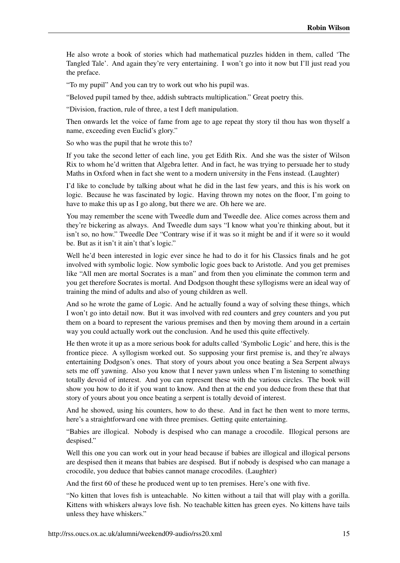He also wrote a book of stories which had mathematical puzzles hidden in them, called 'The Tangled Tale'. And again they're very entertaining. I won't go into it now but I'll just read you the preface.

"To my pupil" And you can try to work out who his pupil was.

"Beloved pupil tamed by thee, addish subtracts multiplication." Great poetry this.

"Division, fraction, rule of three, a test I deft manipulation.

Then onwards let the voice of fame from age to age repeat thy story til thou has won thyself a name, exceeding even Euclid's glory."

So who was the pupil that he wrote this to?

If you take the second letter of each line, you get Edith Rix. And she was the sister of Wilson Rix to whom he'd written that Algebra letter. And in fact, he was trying to persuade her to study Maths in Oxford when in fact she went to a modern university in the Fens instead. (Laughter)

I'd like to conclude by talking about what he did in the last few years, and this is his work on logic. Because he was fascinated by logic. Having thrown my notes on the floor, I'm going to have to make this up as I go along, but there we are. Oh here we are.

You may remember the scene with Tweedle dum and Tweedle dee. Alice comes across them and they're bickering as always. And Tweedle dum says "I know what you're thinking about, but it isn't so, no how." Tweedle Dee "Contrary wise if it was so it might be and if it were so it would be. But as it isn't it ain't that's logic."

Well he'd been interested in logic ever since he had to do it for his Classics finals and he got involved with symbolic logic. Now symbolic logic goes back to Aristotle. And you get premises like "All men are mortal Socrates is a man" and from then you eliminate the common term and you get therefore Socrates is mortal. And Dodgson thought these syllogisms were an ideal way of training the mind of adults and also of young children as well.

And so he wrote the game of Logic. And he actually found a way of solving these things, which I won't go into detail now. But it was involved with red counters and grey counters and you put them on a board to represent the various premises and then by moving them around in a certain way you could actually work out the conclusion. And he used this quite effectively.

He then wrote it up as a more serious book for adults called 'Symbolic Logic' and here, this is the frontice piece. A syllogism worked out. So supposing your first premise is, and they're always entertaining Dodgson's ones. That story of yours about you once beating a Sea Serpent always sets me off yawning. Also you know that I never yawn unless when I'm listening to something totally devoid of interest. And you can represent these with the various circles. The book will show you how to do it if you want to know. And then at the end you deduce from these that that story of yours about you once beating a serpent is totally devoid of interest.

And he showed, using his counters, how to do these. And in fact he then went to more terms, here's a straightforward one with three premises. Getting quite entertaining.

"Babies are illogical. Nobody is despised who can manage a crocodile. Illogical persons are despised."

Well this one you can work out in your head because if babies are illogical and illogical persons are despised then it means that babies are despised. But if nobody is despised who can manage a crocodile, you deduce that babies cannot manage crocodiles. (Laughter)

And the first 60 of these he produced went up to ten premises. Here's one with five.

"No kitten that loves fish is unteachable. No kitten without a tail that will play with a gorilla. Kittens with whiskers always love fish. No teachable kitten has green eyes. No kittens have tails unless they have whiskers."